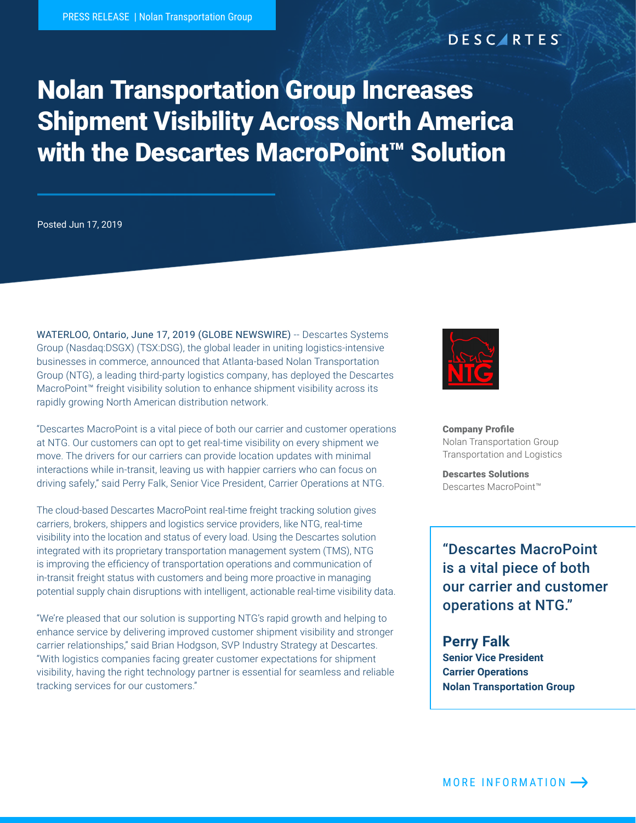# DESCARTES

Nolan Transportation Group Increases Shipment Visibility Across North America with the Descartes MacroPoint™ Solution

Posted Jun 17, 2019

WATERLOO, Ontario, June 17, 2019 (GLOBE NEWSWIRE) -- Descartes Systems Group (Nasdaq:DSGX) (TSX:DSG), the global leader in uniting logistics-intensive businesses in commerce, announced that Atlanta-based Nolan Transportation Group (NTG), a leading third-party logistics company, has deployed the Descartes MacroPoint™ freight visibility solution to enhance shipment visibility across its rapidly growing North American distribution network.

"Descartes MacroPoint is a vital piece of both our carrier and customer operations at NTG. Our customers can opt to get real-time visibility on every shipment we move. The drivers for our carriers can provide location updates with minimal interactions while in-transit, leaving us with happier carriers who can focus on driving safely," said Perry Falk, Senior Vice President, Carrier Operations at NTG.

The cloud-based Descartes MacroPoint real-time freight tracking solution gives carriers, brokers, shippers and logistics service providers, like NTG, real-time visibility into the location and status of every load. Using the Descartes solution integrated with its proprietary transportation management system (TMS), NTG is improving the efficiency of transportation operations and communication of in-transit freight status with customers and being more proactive in managing potential supply chain disruptions with intelligent, actionable real-time visibility data.

"We're pleased that our solution is supporting NTG's rapid growth and helping to enhance service by delivering improved customer shipment visibility and stronger carrier relationships," said Brian Hodgson, SVP Industry Strategy at Descartes. "With logistics companies facing greater customer expectations for shipment visibility, having the right technology partner is essential for seamless and reliable tracking services for our customers."



Company Profile Nolan Transportation Group Transportation and Logistics

Descartes Solutions Descartes MacroPoint™

"Descartes MacroPoint is a vital piece of both our carrier and customer operations at NTG."

**Perry Falk Senior Vice President Carrier Operations Nolan Transportation Group**